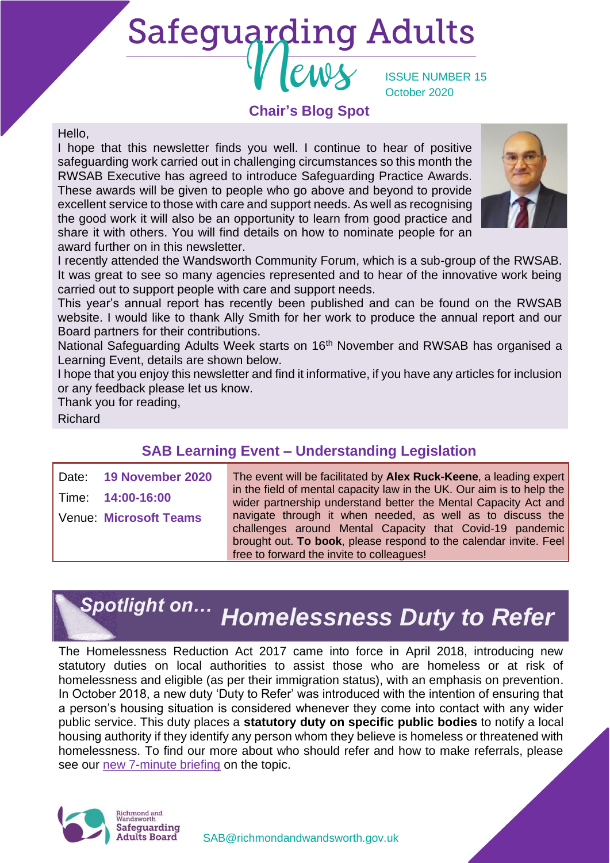# **Safeguarding Adults**

ISSUE NUMBER 15 October 2020

# **Chair's Blog Spot**

#### Hello,

I hope that this newsletter finds you well. I continue to hear of positive safeguarding work carried out in challenging circumstances so this month the RWSAB Executive has agreed to introduce Safeguarding Practice Awards. These awards will be given to people who go above and beyond to provide excellent service to those with care and support needs. As well as recognising the good work it will also be an opportunity to learn from good practice and share it with others. You will find details on how to nominate people for an award further on in this newsletter.



I recently attended the Wandsworth Community Forum, which is a sub-group of the RWSAB. It was great to see so many agencies represented and to hear of the innovative work being carried out to support people with care and support needs.

This year's annual report has recently been published and can be found on the RWSAB website. I would like to thank Ally Smith for her work to produce the annual report and our Board partners for their contributions.

National Safeguarding Adults Week starts on 16th November and RWSAB has organised a Learning Event, details are shown below.

I hope that you enjoy this newsletter and find it informative, if you have any articles for inclusion or any feedback please let us know.

Thank you for reading,

Richard

# **SAB Learning Event – Understanding Legislation**

| Date: 19 November 2020        |
|-------------------------------|
| Time: 14:00-16:00             |
| <b>Venue: Microsoft Teams</b> |
|                               |

The event will be facilitated by **Alex Ruck-Keene**, a leading expert in the field of mental capacity law in the UK. Our aim is to help the wider partnership understand better the Mental Capacity Act and navigate through it when needed, as well as to discuss the challenges around Mental Capacity that Covid-19 pandemic brought out. **To book**, please respond to the calendar invite. Feel free to forward the invite to colleagues!

# *Homelessness Duty to Refer Spotlight on…*

The Homelessness Reduction Act 2017 came into force in April 2018, introducing new statutory duties on local authorities to assist those who are homeless or at risk of homelessness and eligible (as per their immigration status), with an emphasis on prevention. In October 2018, a new duty 'Duty to Refer' was introduced with the intention of ensuring that a person's housing situation is considered whenever they come into contact with any wider public service. This duty places a **statutory duty on specific public bodies** to notify a local housing authority if they identify any person whom they believe is homeless or threatened with homelessness. To find our more about who should refer and how to make referrals, please see our [new 7-minute briefing](https://www.richmond.gov.uk/media/20085/homelessness_duty_to_refer_7_minute_briefing.pdf) on the topic.

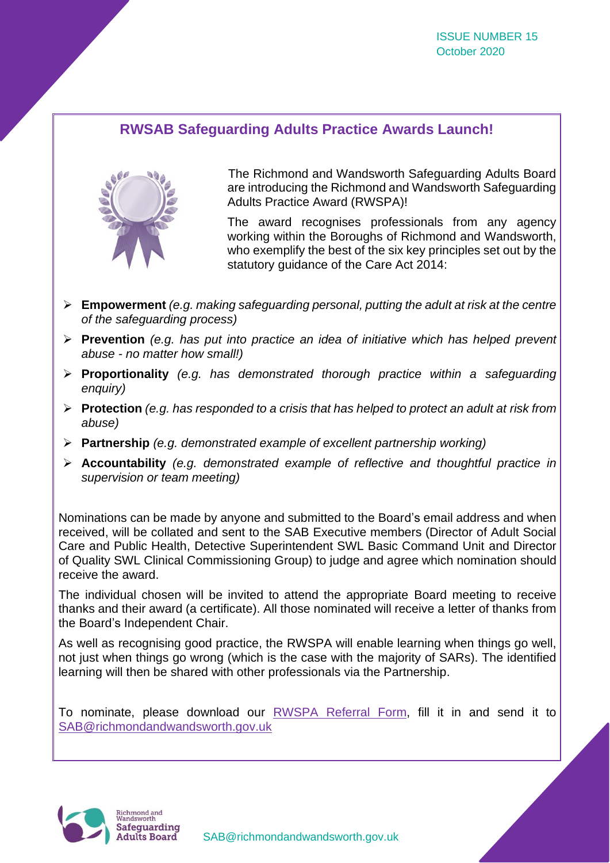# **RWSAB Safeguarding Adults Practice Awards Launch!**



The Richmond and Wandsworth Safeguarding Adults Board are introducing the Richmond and Wandsworth Safeguarding Adults Practice Award (RWSPA)!

The award recognises professionals from any agency working within the Boroughs of Richmond and Wandsworth, who exemplify the best of the six key principles set out by the statutory guidance of the Care Act 2014:

- ➢ **Empowerment** *(e.g. making safeguarding personal, putting the adult at risk at the centre of the safeguarding process)*
- ➢ **Prevention** *(e.g. has put into practice an idea of initiative which has helped prevent abuse - no matter how small!)*
- ➢ **Proportionality** *(e.g. has demonstrated thorough practice within a safeguarding enquiry)*
- ➢ **Protection** *(e.g. has responded to a crisis that has helped to protect an adult at risk from abuse)*
- ➢ **Partnership** *(e.g. demonstrated example of excellent partnership working)*
- ➢ **Accountability** *(e.g. demonstrated example of reflective and thoughtful practice in supervision or team meeting)*

Nominations can be made by anyone and submitted to the Board's email address and when received, will be collated and sent to the SAB Executive members (Director of Adult Social Care and Public Health, Detective Superintendent SWL Basic Command Unit and Director of Quality SWL Clinical Commissioning Group) to judge and agree which nomination should receive the award.

The individual chosen will be invited to attend the appropriate Board meeting to receive thanks and their award (a certificate). All those nominated will receive a letter of thanks from the Board's Independent Chair.

As well as recognising good practice, the RWSPA will enable learning when things go well, not just when things go wrong (which is the case with the majority of SARs). The identified learning will then be shared with other professionals via the Partnership.

To nominate, please download our [RWSPA Referral Form,](https://www.richmond.gov.uk/media/20101/rwspa_referral_form.docx) fill it in and send it to [SAB@richmondandwandsworth.gov.uk](mailto:SAB@richmondandwandsworth.gov.uk)

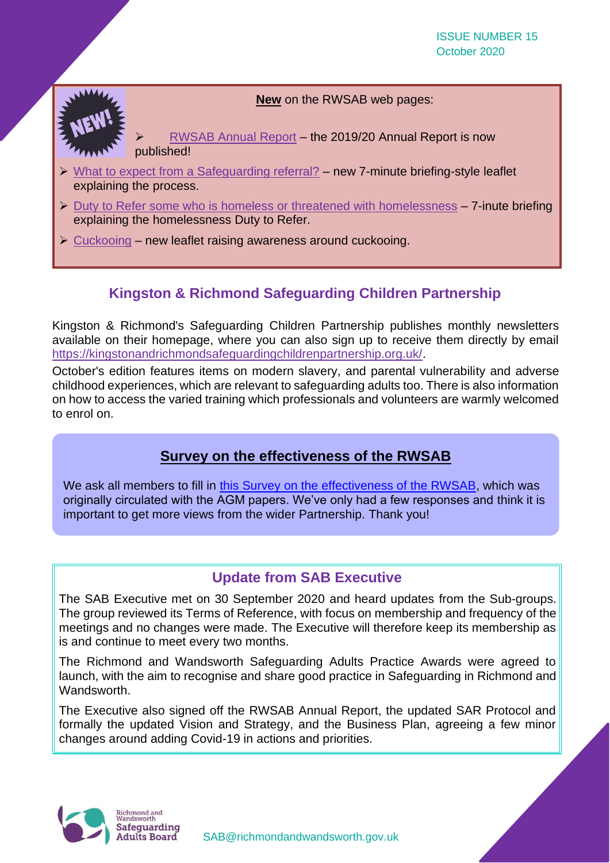**New** on the RWSAB web pages:

➢ [RWSAB Annual Report](https://www.richmond.gov.uk/media/17953/safeguarding_annual_report_2019_20.pdf) – the 2019/20 Annual Report is now published!

- ➢ [What to expect from a Safeguarding referral?](https://www.richmond.gov.uk/media/20046/what_to_expect_when_you_raise_adult_safeguarding_concern.pdf) new 7-minute briefing-style leaflet explaining the process.
- $\triangleright$  [Duty to Refer some who is homeless or threatened with homelessness](https://www.richmond.gov.uk/media/20085/homelessness_duty_to_refer_7_minute_briefing.pdf) 7-inute briefing explaining the homelessness Duty to Refer.
- ➢ [Cuckooing](https://www.richmond.gov.uk/media/19913/cuckooing-leaflet-v1.pdf) new leaflet raising awareness around cuckooing.

# **Kingston & Richmond Safeguarding Children Partnership**

Kingston & Richmond's Safeguarding Children Partnership publishes monthly newsletters available on their homepage, where you can also sign up to receive them directly by email [https://kingstonandrichmondsafeguardingchildrenpartnership.org.uk/.](https://protect-eu.mimecast.com/s/d3a5Cwj9sRD1ElFVN1kO?domain=kingstonandrichmondsafeguardingchildrenpartnership.org.uk/)

October's edition features items on modern slavery, and parental vulnerability and adverse childhood experiences, which are relevant to safeguarding adults too. There is also information on how to access the varied training which professionals and volunteers are warmly welcomed to enrol on.

# **Survey on the effectiveness of the RWSAB**

We ask all members to fill in [this Survey on the effectiveness of the RWSAB,](https://www.smartsurvey.co.uk/s/IMON3F/) which was originally circulated with the AGM papers. We've only had a few responses and think it is important to get more views from the wider Partnership. Thank you!

# **Update from SAB Executive**

The SAB Executive met on 30 September 2020 and heard updates from the Sub-groups. The group reviewed its Terms of Reference, with focus on membership and frequency of the meetings and no changes were made. The Executive will therefore keep its membership as is and continue to meet every two months.

The Richmond and Wandsworth Safeguarding Adults Practice Awards were agreed to launch, with the aim to recognise and share good practice in Safeguarding in Richmond and Wandsworth.

The Executive also signed off the RWSAB Annual Report, the updated SAR Protocol and formally the updated Vision and Strategy, and the Business Plan, agreeing a few minor changes around adding Covid-19 in actions and priorities.